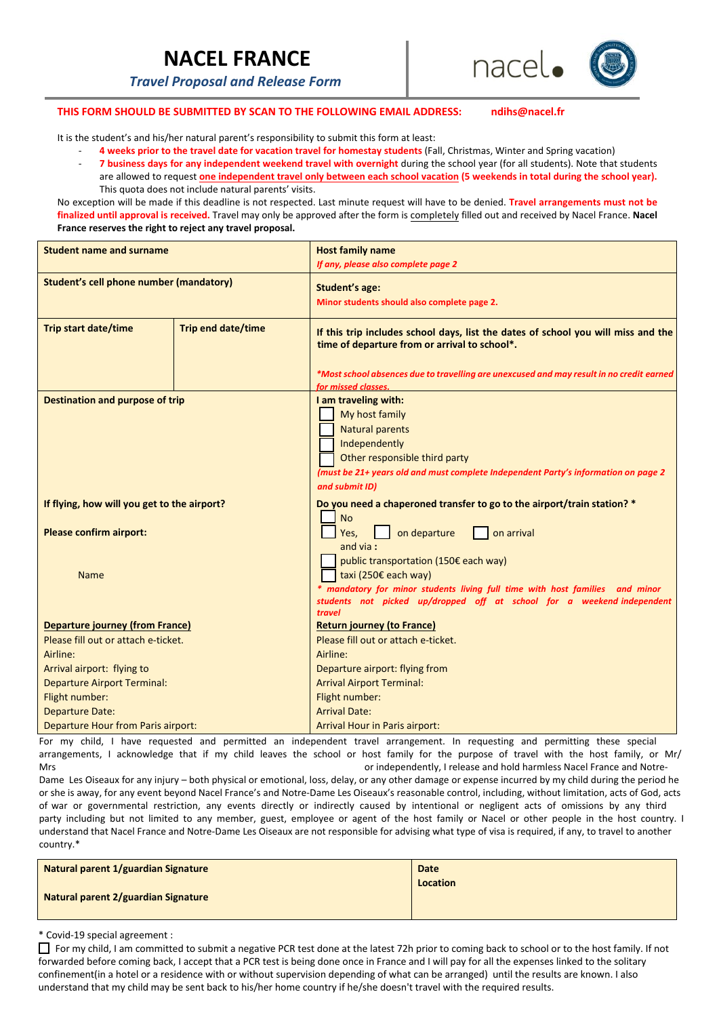# **NACEL FRANCE**

*Travel Proposal and Release Form*



### **THIS FORM SHOULD BE SUBMITTED BY SCAN TO THE FOLLOWING EMAIL ADDRESS: ndihs@nacel.fr**

It is the student's and his/her natural parent's responsibility to submit this form at least:

- ‐ **4 weeks prior to the travel date for vacation travel for homestay students** (Fall, Christmas, Winter and Spring vacation)
- ‐ **7 business days for any independent weekend travel with overnight** during the school year (for all students). Note that students are allowed to request one independent travel only between each school vacation (5 weekends in total during the school year). This quota does not include natural parents' visits.

No exception will be made if this deadline is not respected. Last minute request will have to be denied. **Travel arrangements must not be finalized until approval is received.** Travel may only be approved after the form is completely filled out and received by Nacel France. **Nacel France reserves the right to reject any travel proposal.** 

| <b>Student name and surname</b>             |                           | <b>Host family name</b>                                                                                                                                                                                                         |
|---------------------------------------------|---------------------------|---------------------------------------------------------------------------------------------------------------------------------------------------------------------------------------------------------------------------------|
|                                             |                           | If any, please also complete page 2                                                                                                                                                                                             |
| Student's cell phone number (mandatory)     |                           | <b>Student's age:</b>                                                                                                                                                                                                           |
|                                             |                           | Minor students should also complete page 2.                                                                                                                                                                                     |
| <b>Trip start date/time</b>                 | <b>Trip end date/time</b> | If this trip includes school days, list the dates of school you will miss and the<br>time of departure from or arrival to school*.                                                                                              |
|                                             |                           | *Most school absences due to travelling are unexcused and may result in no credit earned<br>for missed classes.                                                                                                                 |
| <b>Destination and purpose of trip</b>      |                           | I am traveling with:<br>My host family<br><b>Natural parents</b><br>Independently<br>Other responsible third party<br>(must be 21+ years old and must complete Independent Party's information on page 2<br>and submit ID)      |
| If flying, how will you get to the airport? |                           | Do you need a chaperoned transfer to go to the airport/train station? *                                                                                                                                                         |
| <b>Please confirm airport:</b>              |                           | <b>No</b><br>on departure<br>on arrival<br>Yes.<br>and via:                                                                                                                                                                     |
| <b>Name</b>                                 |                           | public transportation (150€ each way)<br>taxi (250€ each way)<br>mandatory for minor students living full time with host families and minor<br>students not picked up/dropped off at school for a weekend-independent<br>travel |
| Departure journey (from France)             |                           | <b>Return journey (to France)</b>                                                                                                                                                                                               |
| Please fill out or attach e-ticket.         |                           | Please fill out or attach e-ticket.                                                                                                                                                                                             |
| Airline:                                    |                           | Airline:                                                                                                                                                                                                                        |
| Arrival airport: flying to                  |                           | Departure airport: flying from                                                                                                                                                                                                  |
| <b>Departure Airport Terminal:</b>          |                           | <b>Arrival Airport Terminal:</b>                                                                                                                                                                                                |
| Flight number:                              |                           | Flight number:                                                                                                                                                                                                                  |
| <b>Departure Date:</b>                      |                           | <b>Arrival Date:</b>                                                                                                                                                                                                            |
| Departure Hour from Paris airport:          |                           | Arrival Hour in Paris airport:                                                                                                                                                                                                  |

For my child, I have requested and permitted an independent travel arrangement. In requesting and permitting these special arrangements, I acknowledge that if my child leaves the school or host family for the purpose of travel with the host family, or Mr/ Mrs --------------------------------------------------------------------------------------------- or independently, I release and hold harmless Nacel France and Notre‐

Dame Les Oiseaux for any injury – both physical or emotional, loss, delay, or any other damage or expense incurred by my child during the period he or she is away, for any event beyond Nacel France's and Notre‐Dame Les Oiseaux's reasonable control, including, without limitation, acts of God, acts of war or governmental restriction, any events directly or indirectly caused by intentional or negligent acts of omissions by any third party including but not limited to any member, guest, employee or agent of the host family or Nacel or other people in the host country. I understand that Nacel France and Notre‐Dame Les Oiseaux are not responsible for advising what type of visa is required, if any, to travel to another country.\*

| Natural parent 1/guardian Signature | Date<br>Location |
|-------------------------------------|------------------|
| Natural parent 2/guardian Signature |                  |

#### \* Covid-19 special agreement :

For my child, I am committed to submit a negative PCR test done at the latest 72h prior to coming back to school or to the host family. If not forwarded before coming back, I accept that a PCR test is being done once in France and I will pay for all the expenses linked to the solitary confinement(in a hotel or a residence with or without supervision depending of what can be arranged) until the results are known. I also understand that my child may be sent back to his/her home country if he/she doesn't travel with the required results.